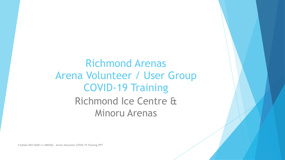Richmond Arenas Arena Volunteer / User Group COVID-19 Training Richmond Ice Centre & Minoru Arenas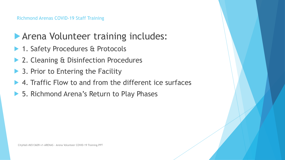### **Arena Volunteer training includes:**

- ▶ 1. Safety Procedures & Protocols
- ▶ 2. Cleaning & Disinfection Procedures
- $\triangleright$  3. Prior to Entering the Facility
- ! 4. Traffic Flow to and from the different ice surfaces
- ▶ 5. Richmond Arena's Return to Play Phases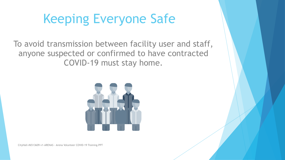# Keeping Everyone Safe

To avoid transmission between facility user and staff, anyone suspected or confirmed to have contracted COVID-19 must stay home.

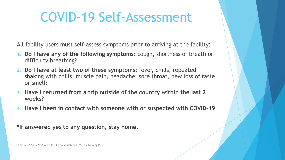# COVID-19 Self-Assessment

All facility users must self-assess symptoms prior to arriving at the facility:

- **1. Do I have any of the following symptoms:** cough, shortness of breath or difficulty breathing?
- **2. Do I have at least two of these symptoms:** fever, chills, repeated shaking with chills, muscle pain, headache, sore throat, new loss of taste or smell?
- **3. Have I returned from a trip outside of the country within the last 2 weeks?**
- **4. Have I been in contact with someone with or suspected with COVID-19**

**\*If answered yes to any question, stay home.**

CityHall-#6513609-v1-ARENAS - Arena Volunteer COVID-19 Training.PPT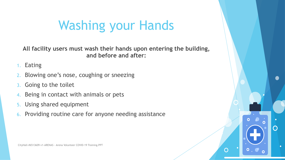# Washing your Hands

**All facility users must wash their hands upon entering the building, and before and after:** 

 $\bigcap$ 

**Eating** 

- Blowing one's nose, coughing or sneezing
- 3. Going to the toilet
- 4. Being in contact with animals or pets
- 5. Using shared equipment
- 6. Providing routine care for anyone needing assistance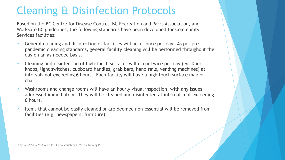### Cleaning & Disinfection Protocols

Based on the BC Centre for Disease Control, BC Recreation and Parks Association, and WorkSafe BC guidelines, the following standards have been developed for Community Services facilities:

- ✓ General cleaning and disinfection of facilities will occur once per day. As per prepandemic cleaning standards, general facility cleaning will be performed throughout the day on an as-needed basis.
- ✓ Cleaning and disinfection of high-touch surfaces will occur twice per day (eg. Door knobs, light switches, cupboard handles, grab bars, hand rails, vending machines) at intervals not exceeding 6 hours. Each facility will have a high touch surface map or chart.
- ✓ Washrooms and change rooms will have an hourly visual inspection, with any issues addressed immediately. They will be cleaned and disinfected at internals not exceeding 6 hours.
- ✓ Items that cannot be easily cleaned or are deemed non-essential will be removed from facilities (e.g. newspapers, furniture).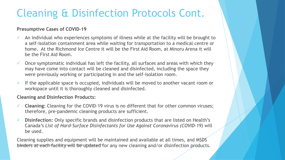### Cleaning & Disinfection Protocols Cont.

#### **Presumptive Cases of COVID-19**

- $\checkmark$  An individual who experiences symptoms of illness while at the facility will be brought to a self-isolation containment area while waiting for transportation to a medical centre or home. At the Richmond Ice Centre it will be the First Aid Room, at Minoru Arena it will be the First Aid Room.
- ✓ Once symptomatic individual has left the facility, all surfaces and areas with which they may have come into contact will be cleaned and disinfected, including the space they were previously working or participating in and the self-isolation room.
- ✓ If the applicable space is occupied, individuals will be moved to another vacant room or workspace until it is thoroughly cleaned and disinfected.

#### **Cleaning and Disinfection Products:**

- ✓ **Cleaning:** Cleaning for the COVID-19 virus is no different that for other common viruses; therefore, pre-pandemic cleaning products are sufficient.
- ✓ **Disinfection:** Only specific brands and disinfection products that are listed on Health's Canada's *List of Hard-Surface Disinfectants for Use Against Coronavirus (COVID-19)* will be used.

binders at each facility will be updated for any new cleaning and/or disinfection products. Cleaning supplies and equipment will be maintained and available at all times, and MSDS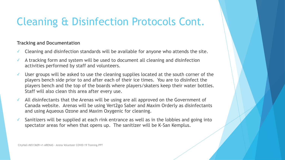## Cleaning & Disinfection Protocols Cont.

#### **Tracking and Documentation**

- ✓ Cleaning and disinfection standards will be available for anyone who attends the site.
- ✓ A tracking form and system will be used to document all cleaning and disinfection activities performed by staff and volunteers.
- ✓ User groups will be asked to use the cleaning supplies located at the south corner of the players bench side prior to and after each of their ice times. You are to disinfect the players bench and the top of the boards where players/skaters keep their water bottles. Staff will also clean this area after every use.
- ✓ All disinfectants that the Arenas will be using are all approved on the Government of Canada website. Arenas will be using Vert2go Saber and Maxim Orderly as disinfectants and using Aqueous Ozone and Maxim Oxygenic for cleaning.
- ✓ Sanitizers will be supplied at each rink entrance as well as in the lobbies and going into spectator areas for when that opens up. The sanitizer will be K-San Kemplus.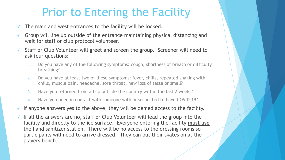## Prior to Entering the Facility

- The main and west entrances to the facility will be locked.
- Group will line up outside of the entrance maintaining physical distancing and wait for staff or club protocol volunteer.
- ✓ Staff or Club Volunteer will greet and screen the group. Screener will need to ask four questions:
	- 1. Do you have any of the following symptoms: cough, shortness of breath or difficulty breathing?
	- 2. Do you have at least two of these symptoms: fever, chills, repeated shaking with chills, muscle pain, headache, sore throat, new loss of taste or smell?
	- 3. Have you returned from a trip outside the country within the last 2 weeks?
	- 4. Have you been in contact with someone with or suspected to have COVID-19?
- $\checkmark$  If anyone answers yes to the above, they will be denied access to the facility.
- ✓ If all the answers are no, staff or Club Volunteer will lead the group into the facility and directly to the ice surface. Everyone entering the facility **must use**  the hand sanitizer station. There will be no access to the dressing rooms so participants will need to arrive dressed. They can put their skates on at the players bench.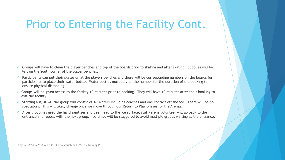## Prior to Entering the Facility Cont.

- ✓ Groups will have to clean the player benches and top of the boards prior to skating and after skating. Supplies will be left on the South corner of the player benches.
- Participants can put their skates on at the players benches and there will be corresponding numbers on the boards for participants to place their water bottle. Water bottles must stay on the number for the duration of the booking to ensure physical distancing.
- ✓ Groups will be given access to the facility 10 minutes prior to booking. They will have 10 minutes after their booking to exit the facility.
- ✓ Starting August 24, the group will consist of 16 skaters including coaches and one contact off the ice. There will be no spectators. This will likely change once we move through our Return to Play phases for the Arenas.
- ✓ After group has used the hand sanitizer and been lead to the ice surface, staff/arena volunteer will go back to the entrance and repeat with the next group. Ice times will be staggered to avoid multiple groups waiting at the entrance.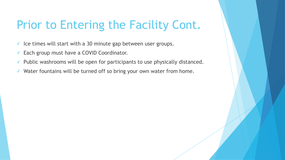## Prior to Entering the Facility Cont.

- ✓ Ice times will start with a 30 minute gap between user groups.
- ✓ Each group must have a COVID Coordinator.
- ✓ Public washrooms will be open for participants to use physically distanced.
- ✓ Water fountains will be turned off so bring your own water from home.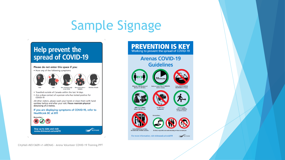# Sample Signage

 $\mathbf{t}_\perp$ 

r.

### Help prevent the spread of COVID-19

A.





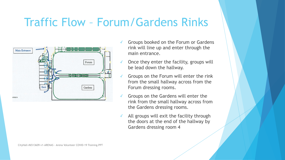## Traffic Flow – Forum/Gardens Rinks



- ✓ Groups booked on the Forum or Gardens rink will line up and enter through the main entrance.
- Once they enter the facility, groups will be lead down the hallway.
- Groups on the Forum will enter the rink from the small hallway across from the Forum dressing rooms.
- Groups on the Gardens will enter the rink from the small hallway across from the Gardens dressing rooms.
- $\checkmark$  All groups will exit the facility through the doors at the end of the hallway by Gardens dressing room 4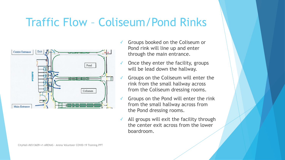## Traffic Flow – Coliseum/Pond Rinks



- ✓ Groups booked on the Coliseum or Pond rink will line up and enter through the main entrance.
- Once they enter the facility, groups will be lead down the hallway.
- Groups on the Coliseum will enter the rink from the small hallway across from the Coliseum dressing rooms.
- ✓ Groups on the Pond will enter the rink from the small hallway across from the Pond dressing rooms.
- $\checkmark$  All groups will exit the facility through the center exit across from the lower boardroom.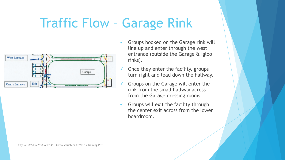## Traffic Flow – Garage Rink



- ✓ Groups booked on the Garage rink will line up and enter through the west entrance (outside the Garage & Igloo rinks).
- Once they enter the facility, groups turn right and lead down the hallway.
- Groups on the Garage will enter the rink from the small hallway across from the Garage dressing rooms.
- Groups will exit the facility through the center exit across from the lower boardroom.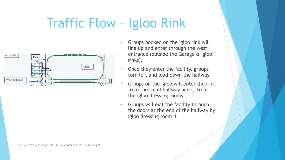## Traffic Flow – Igloo Rink



- Groups booked on the Igloo rink will line up and enter through the west entrance (outside the Garage & Igloo rinks).
- Once they enter the facility, groups turn left and lead down the hallway.
- Groups on the Igloo will enter the rink from the small hallway across from the Igloo dressing rooms.
- Groups will exit the facility through the doors at the end of the hallway by Igloo dressing room 4.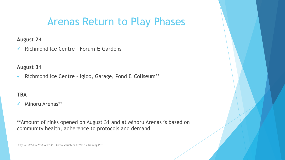### Arenas Return to Play Phases

#### **August 24**

✓ Richmond Ice Centre – Forum & Gardens

#### **August 31**

✓ Richmond Ice Centre – Igloo, Garage, Pond & Coliseum\*\*

#### **TBA**

✓ Minoru Arenas\*\*

\*\*Amount of rinks opened on August 31 and at Minoru Arenas is based on community health, adherence to protocols and demand